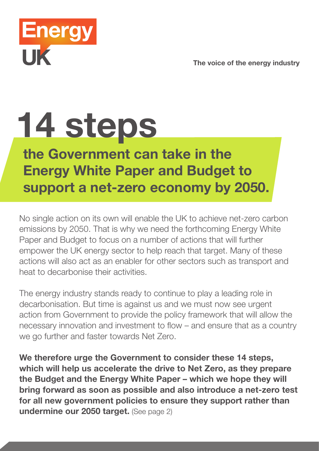The voice of the energy industry



## 14 steps

## the Government can take in the Energy White Paper and Budget to support a net-zero economy by 2050.

No single action on its own will enable the UK to achieve net-zero carbon emissions by 2050. That is why we need the forthcoming Energy White Paper and Budget to focus on a number of actions that will further empower the UK energy sector to help reach that target. Many of these actions will also act as an enabler for other sectors such as transport and heat to decarbonise their activities.

The energy industry stands ready to continue to play a leading role in decarbonisation. But time is against us and we must now see urgent action from Government to provide the policy framework that will allow the necessary innovation and investment to flow – and ensure that as a country we go further and faster towards Net Zero.

We therefore urge the Government to consider these 14 steps, which will help us accelerate the drive to Net Zero, as they prepare the Budget and the Energy White Paper – which we hope they will bring forward as soon as possible and also introduce a net-zero test for all new government policies to ensure they support rather than undermine our 2050 target. (See page 2)